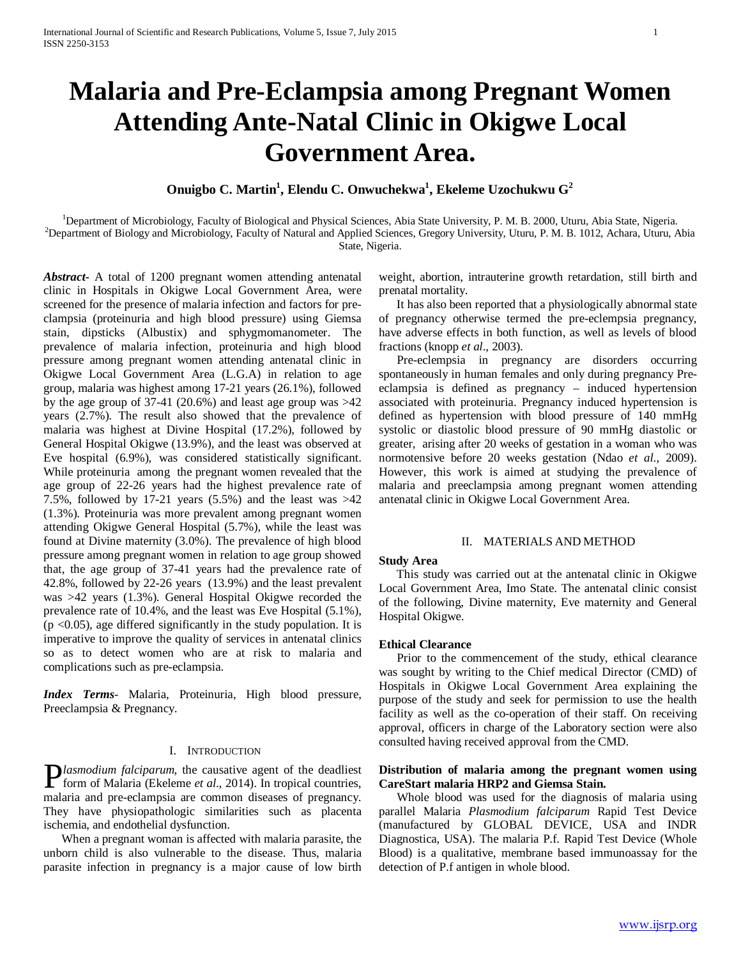# **Malaria and Pre-Eclampsia among Pregnant Women Attending Ante-Natal Clinic in Okigwe Local Government Area.**

**Onuigbo C. Martin1 , Elendu C. Onwuchekwa1 , Ekeleme Uzochukwu G<sup>2</sup>**

<sup>1</sup>Department of Microbiology, Faculty of Biological and Physical Sciences, Abia State University, P. M. B. 2000, Uturu, Abia State, Nigeria.<br><sup>2</sup>Department of Biology and Microbiology, Faculty of Natural and Applied Scienc <sup>2</sup>Department of Biology and Microbiology, Faculty of Natural and Applied Sciences, Gregory University, Uturu, P. M. B. 1012, Achara, Uturu, Abia State, Nigeria.

*Abstract***-** A total of 1200 pregnant women attending antenatal clinic in Hospitals in Okigwe Local Government Area, were screened for the presence of malaria infection and factors for preclampsia (proteinuria and high blood pressure) using Giemsa stain, dipsticks (Albustix) and sphygmomanometer. The prevalence of malaria infection, proteinuria and high blood pressure among pregnant women attending antenatal clinic in Okigwe Local Government Area (L.G.A) in relation to age group, malaria was highest among 17-21 years (26.1%), followed by the age group of  $37-41$  (20.6%) and least age group was  $>42$ years (2.7%). The result also showed that the prevalence of malaria was highest at Divine Hospital (17.2%), followed by General Hospital Okigwe (13.9%), and the least was observed at Eve hospital (6.9%), was considered statistically significant. While proteinuria among the pregnant women revealed that the age group of 22-26 years had the highest prevalence rate of 7.5%, followed by 17-21 years  $(5.5%)$  and the least was  $>42$ (1.3%). Proteinuria was more prevalent among pregnant women attending Okigwe General Hospital (5.7%), while the least was found at Divine maternity (3.0%). The prevalence of high blood pressure among pregnant women in relation to age group showed that, the age group of 37-41 years had the prevalence rate of 42.8%, followed by 22-26 years (13.9%) and the least prevalent was >42 years (1.3%). General Hospital Okigwe recorded the prevalence rate of 10.4%, and the least was Eve Hospital (5.1%),  $(p \le 0.05)$ , age differed significantly in the study population. It is imperative to improve the quality of services in antenatal clinics so as to detect women who are at risk to malaria and complications such as pre-eclampsia.

*Index Terms*- Malaria, Proteinuria, High blood pressure, Preeclampsia & Pregnancy.

#### I. INTRODUCTION

*lasmodium falciparum*, the causative agent of the deadliest **F**lasmodium falciparum, the causative agent of the deadliest form of Malaria (Ekeleme *et al.*, 2014). In tropical countries, malaria and pre-eclampsia are common diseases of pregnancy. They have physiopathologic similarities such as placenta ischemia, and endothelial dysfunction.

 When a pregnant woman is affected with malaria parasite, the unborn child is also vulnerable to the disease. Thus, malaria parasite infection in pregnancy is a major cause of low birth

weight, abortion, intrauterine growth retardation, still birth and prenatal mortality.

 It has also been reported that a physiologically abnormal state of pregnancy otherwise termed the pre-eclempsia pregnancy, have adverse effects in both function, as well as levels of blood fractions (knopp *et al*., 2003).

 Pre-eclempsia in pregnancy are disorders occurring spontaneously in human females and only during pregnancy Preeclampsia is defined as pregnancy – induced hypertension associated with proteinuria. Pregnancy induced hypertension is defined as hypertension with blood pressure of 140 mmHg systolic or diastolic blood pressure of 90 mmHg diastolic or greater, arising after 20 weeks of gestation in a woman who was normotensive before 20 weeks gestation (Ndao *et al*., 2009). However, this work is aimed at studying the prevalence of malaria and preeclampsia among pregnant women attending antenatal clinic in Okigwe Local Government Area.

### II. MATERIALS AND METHOD

#### **Study Area**

 This study was carried out at the antenatal clinic in Okigwe Local Government Area, Imo State. The antenatal clinic consist of the following, Divine maternity, Eve maternity and General Hospital Okigwe.

# **Ethical Clearance**

 Prior to the commencement of the study, ethical clearance was sought by writing to the Chief medical Director (CMD) of Hospitals in Okigwe Local Government Area explaining the purpose of the study and seek for permission to use the health facility as well as the co-operation of their staff. On receiving approval, officers in charge of the Laboratory section were also consulted having received approval from the CMD.

#### **Distribution of malaria among the pregnant women using CareStart malaria HRP2 and Giemsa Stain.**

 Whole blood was used for the diagnosis of malaria using parallel Malaria *Plasmodium falciparum* Rapid Test Device (manufactured by GLOBAL DEVICE, USA and INDR Diagnostica, USA). The malaria P.f. Rapid Test Device (Whole Blood) is a qualitative, membrane based immunoassay for the detection of P.f antigen in whole blood.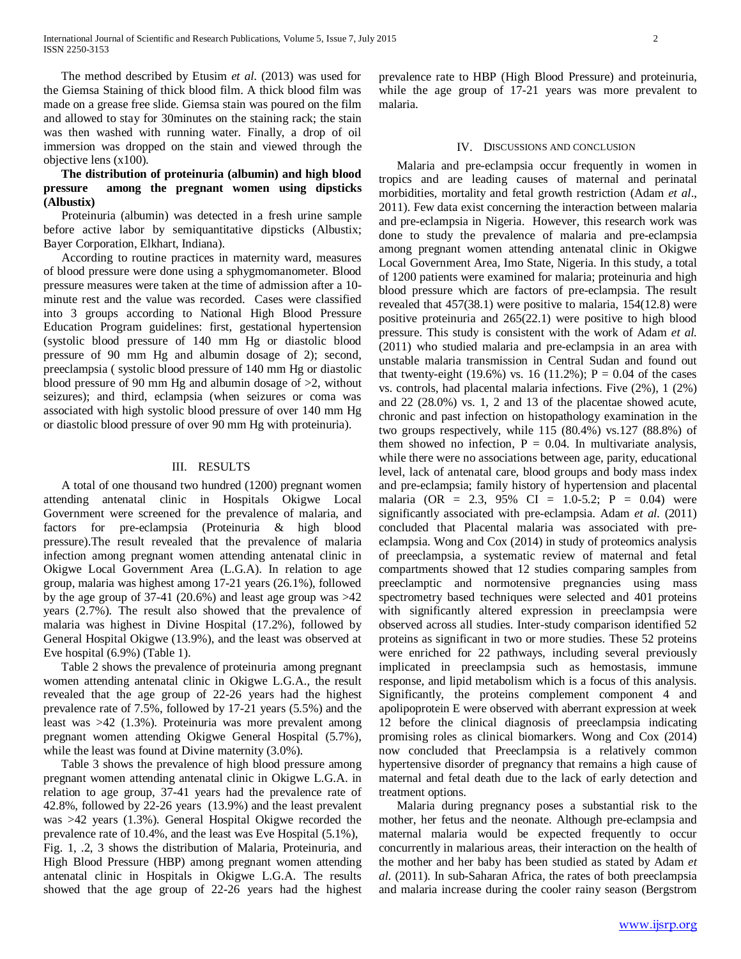The method described by Etusim *et al*. (2013) was used for the Giemsa Staining of thick blood film. A thick blood film was made on a grease free slide. Giemsa stain was poured on the film and allowed to stay for 30minutes on the staining rack; the stain was then washed with running water. Finally, a drop of oil immersion was dropped on the stain and viewed through the objective lens (x100).

## **The distribution of proteinuria (albumin) and high blood pressure among the pregnant women using dipsticks (Albustix)**

 Proteinuria (albumin) was detected in a fresh urine sample before active labor by semiquantitative dipsticks (Albustix; Bayer Corporation, Elkhart, Indiana).

 According to routine practices in maternity ward, measures of blood pressure were done using a sphygmomanometer. Blood pressure measures were taken at the time of admission after a 10 minute rest and the value was recorded. Cases were classified into 3 groups according to National High Blood Pressure Education Program guidelines: first, gestational hypertension (systolic blood pressure of 140 mm Hg or diastolic blood pressure of 90 mm Hg and albumin dosage of 2); second, preeclampsia ( systolic blood pressure of 140 mm Hg or diastolic blood pressure of 90 mm Hg and albumin dosage of >2, without seizures); and third, eclampsia (when seizures or coma was associated with high systolic blood pressure of over 140 mm Hg or diastolic blood pressure of over 90 mm Hg with proteinuria).

#### III. RESULTS

 A total of one thousand two hundred (1200) pregnant women attending antenatal clinic in Hospitals Okigwe Local Government were screened for the prevalence of malaria, and factors for pre-eclampsia (Proteinuria & high blood pressure).The result revealed that the prevalence of malaria infection among pregnant women attending antenatal clinic in Okigwe Local Government Area (L.G.A). In relation to age group, malaria was highest among 17-21 years (26.1%), followed by the age group of  $37-41$  (20.6%) and least age group was  $>42$ years (2.7%). The result also showed that the prevalence of malaria was highest in Divine Hospital (17.2%), followed by General Hospital Okigwe (13.9%), and the least was observed at Eve hospital (6.9%) (Table 1).

 Table 2 shows the prevalence of proteinuria among pregnant women attending antenatal clinic in Okigwe L.G.A., the result revealed that the age group of 22-26 years had the highest prevalence rate of 7.5%, followed by 17-21 years (5.5%) and the least was >42 (1.3%). Proteinuria was more prevalent among pregnant women attending Okigwe General Hospital (5.7%), while the least was found at Divine maternity (3.0%).

 Table 3 shows the prevalence of high blood pressure among pregnant women attending antenatal clinic in Okigwe L.G.A. in relation to age group, 37-41 years had the prevalence rate of 42.8%, followed by 22-26 years (13.9%) and the least prevalent was >42 years (1.3%). General Hospital Okigwe recorded the prevalence rate of 10.4%, and the least was Eve Hospital (5.1%), Fig. 1, .2, 3 shows the distribution of Malaria, Proteinuria, and High Blood Pressure (HBP) among pregnant women attending antenatal clinic in Hospitals in Okigwe L.G.A. The results showed that the age group of 22-26 years had the highest

prevalence rate to HBP (High Blood Pressure) and proteinuria, while the age group of 17-21 years was more prevalent to malaria.

#### IV. DISCUSSIONS AND CONCLUSION

 Malaria and pre-eclampsia occur frequently in women in tropics and are leading causes of maternal and perinatal morbidities, mortality and fetal growth restriction (Adam *et al*., 2011). Few data exist concerning the interaction between malaria and pre-eclampsia in Nigeria. However, this research work was done to study the prevalence of malaria and pre-eclampsia among pregnant women attending antenatal clinic in Okigwe Local Government Area, Imo State, Nigeria. In this study, a total of 1200 patients were examined for malaria; proteinuria and high blood pressure which are factors of pre-eclampsia. The result revealed that 457(38.1) were positive to malaria, 154(12.8) were positive proteinuria and 265(22.1) were positive to high blood pressure. This study is consistent with the work of Adam *et al.* (2011) who studied malaria and pre-eclampsia in an area with unstable malaria transmission in Central Sudan and found out that twenty-eight (19.6%) vs. 16 (11.2%);  $P = 0.04$  of the cases vs. controls, had placental malaria infections. Five (2%), 1 (2%) and 22 (28.0%) vs. 1, 2 and 13 of the placentae showed acute, chronic and past infection on histopathology examination in the two groups respectively, while 115 (80.4%) vs.127 (88.8%) of them showed no infection,  $P = 0.04$ . In multivariate analysis, while there were no associations between age, parity, educational level, lack of antenatal care, blood groups and body mass index and pre-eclampsia; family history of hypertension and placental malaria (OR = 2.3, 95% CI = 1.0-5.2; P = 0.04) were significantly associated with pre-eclampsia. Adam *et al.* (2011) concluded that Placental malaria was associated with preeclampsia. Wong and Cox (2014) in study of proteomics analysis of preeclampsia, a systematic review of maternal and fetal compartments showed that 12 studies comparing samples from preeclamptic and normotensive pregnancies using mass spectrometry based techniques were selected and 401 proteins with significantly altered expression in preeclampsia were observed across all studies. Inter-study comparison identified 52 proteins as significant in two or more studies. These 52 proteins were enriched for 22 pathways, including several previously implicated in preeclampsia such as hemostasis, immune response, and lipid metabolism which is a focus of this analysis. Significantly, the proteins complement component 4 and apolipoprotein E were observed with aberrant expression at week 12 before the clinical diagnosis of preeclampsia indicating promising roles as clinical biomarkers. Wong and Cox (2014) now concluded that Preeclampsia is a relatively common hypertensive disorder of pregnancy that remains a high cause of maternal and fetal death due to the lack of early detection and treatment options.

 Malaria during pregnancy poses a substantial risk to the mother, her fetus and the neonate. Although pre-eclampsia and maternal malaria would be expected frequently to occur concurrently in malarious areas, their interaction on the health of the mother and her baby has been studied as stated by Adam *et al.* (2011). In sub-Saharan Africa, the rates of both preeclampsia and malaria increase during the cooler rainy season (Bergstrom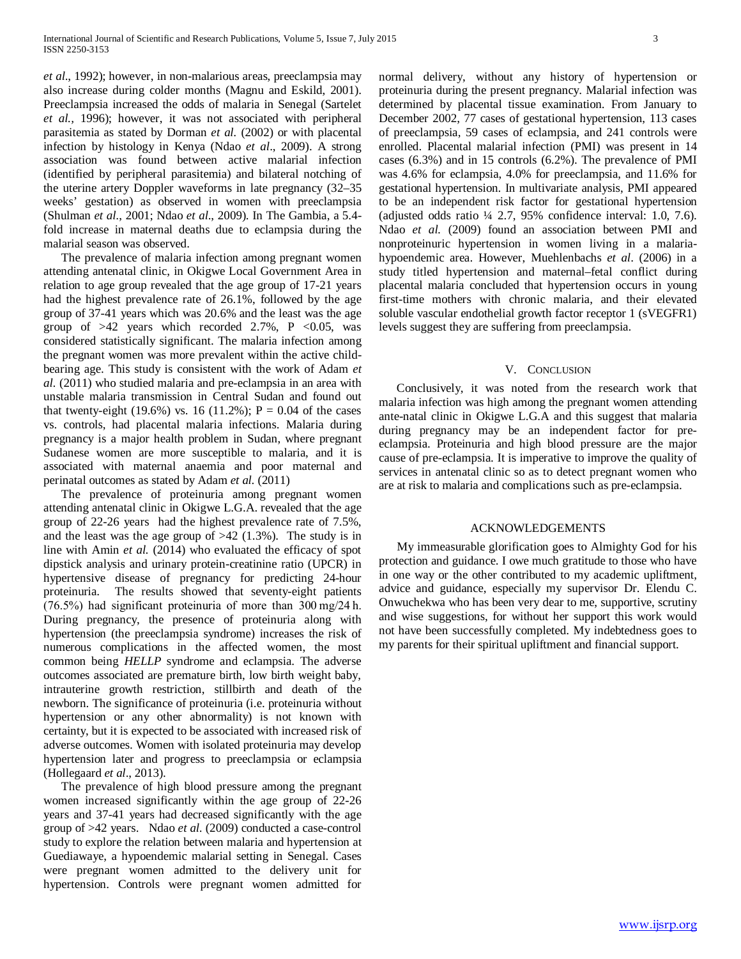*et al*., 1992); however, in non-malarious areas, preeclampsia may also increase during colder months (Magnu and Eskild, 2001). Preeclampsia increased the odds of malaria in Senegal (Sartelet *et al.,* 1996); however, it was not associated with peripheral parasitemia as stated by Dorman *et al.* (2002) or with placental infection by histology in Kenya (Ndao *et al*., 2009). A strong association was found between active malarial infection (identified by peripheral parasitemia) and bilateral notching of the uterine artery Doppler waveforms in late pregnancy (32–35 weeks' gestation) as observed in women with preeclampsia (Shulman *et al*., 2001; Ndao *et al*., 2009). In The Gambia, a 5.4 fold increase in maternal deaths due to eclampsia during the malarial season was observed.

 The prevalence of malaria infection among pregnant women attending antenatal clinic, in Okigwe Local Government Area in relation to age group revealed that the age group of 17-21 years had the highest prevalence rate of 26.1%, followed by the age group of 37-41 years which was 20.6% and the least was the age group of  $>42$  years which recorded 2.7%, P <0.05, was considered statistically significant. The malaria infection among the pregnant women was more prevalent within the active childbearing age. This study is consistent with the work of Adam *et al.* (2011) who studied malaria and pre-eclampsia in an area with unstable malaria transmission in Central Sudan and found out that twenty-eight (19.6%) vs. 16 (11.2%);  $P = 0.04$  of the cases vs. controls, had placental malaria infections. Malaria during pregnancy is a major health problem in Sudan, where pregnant Sudanese women are more susceptible to malaria, and it is associated with maternal anaemia and poor maternal and perinatal outcomes as stated by Adam *et al.* (2011)

 The prevalence of proteinuria among pregnant women attending antenatal clinic in Okigwe L.G.A. revealed that the age group of 22-26 years had the highest prevalence rate of 7.5%, and the least was the age group of  $>42$  (1.3%). The study is in line with Amin *et al.* (2014) who evaluated the efficacy of spot dipstick analysis and urinary protein-creatinine ratio (UPCR) in hypertensive disease of pregnancy for predicting 24-hour proteinuria. The results showed that seventy-eight patients (76.5%) had significant proteinuria of more than 300 mg/24 h. During pregnancy, the presence of proteinuria along with hypertension (the preeclampsia syndrome) increases the risk of numerous complications in the affected women, the most common being *HELLP* syndrome and eclampsia. The adverse outcomes associated are premature birth, low birth weight baby, intrauterine growth restriction, stillbirth and death of the newborn. The significance of proteinuria (i.e. proteinuria without hypertension or any other abnormality) is not known with certainty, but it is expected to be associated with increased risk of adverse outcomes. Women with isolated proteinuria may develop hypertension later and progress to preeclampsia or eclampsia (Hollegaard *et al*., 2013).

 The prevalence of high blood pressure among the pregnant women increased significantly within the age group of 22-26 years and 37-41 years had decreased significantly with the age group of >42 years. Ndao *et al.* (2009) conducted a case-control study to explore the relation between malaria and hypertension at Guediawaye, a hypoendemic malarial setting in Senegal. Cases were pregnant women admitted to the delivery unit for hypertension. Controls were pregnant women admitted for

normal delivery, without any history of hypertension or proteinuria during the present pregnancy. Malarial infection was determined by placental tissue examination. From January to December 2002, 77 cases of gestational hypertension, 113 cases of preeclampsia, 59 cases of eclampsia, and 241 controls were enrolled. Placental malarial infection (PMI) was present in 14 cases (6.3%) and in 15 controls (6.2%). The prevalence of PMI was 4.6% for eclampsia, 4.0% for preeclampsia, and 11.6% for gestational hypertension. In multivariate analysis, PMI appeared to be an independent risk factor for gestational hypertension (adjusted odds ratio ¼ 2.7, 95% confidence interval: 1.0, 7.6). Ndao *et al.* (2009) found an association between PMI and nonproteinuric hypertension in women living in a malariahypoendemic area. However, Muehlenbachs *et al*. (2006) in a study titled hypertension and maternal–fetal conflict during placental malaria concluded that hypertension occurs in young first-time mothers with chronic malaria, and their elevated soluble vascular endothelial growth factor receptor 1 (sVEGFR1) levels suggest they are suffering from preeclampsia.

### V. CONCLUSION

 Conclusively, it was noted from the research work that malaria infection was high among the pregnant women attending ante-natal clinic in Okigwe L.G.A and this suggest that malaria during pregnancy may be an independent factor for preeclampsia. Proteinuria and high blood pressure are the major cause of pre-eclampsia. It is imperative to improve the quality of services in antenatal clinic so as to detect pregnant women who are at risk to malaria and complications such as pre-eclampsia.

#### ACKNOWLEDGEMENTS

 My immeasurable glorification goes to Almighty God for his protection and guidance. I owe much gratitude to those who have in one way or the other contributed to my academic upliftment, advice and guidance, especially my supervisor Dr. Elendu C. Onwuchekwa who has been very dear to me, supportive, scrutiny and wise suggestions, for without her support this work would not have been successfully completed. My indebtedness goes to my parents for their spiritual upliftment and financial support.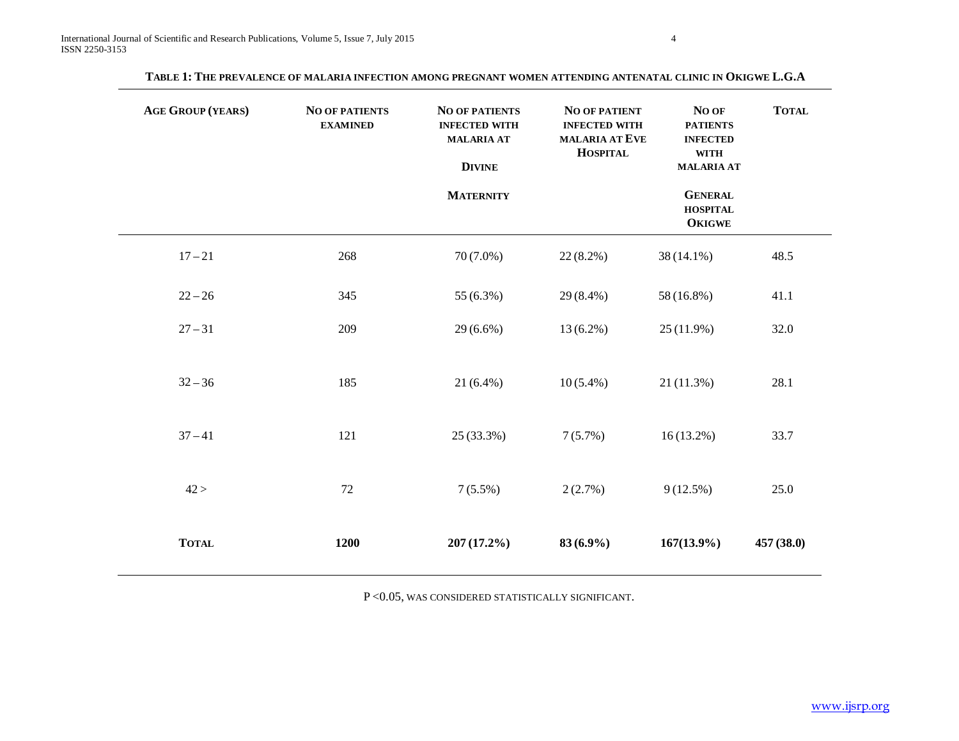| <b>AGE GROUP (YEARS)</b> | <b>NO OF PATIENTS</b><br><b>EXAMINED</b> | <b>NO OF PATIENTS</b><br><b>INFECTED WITH</b><br><b>MALARIA AT</b><br><b>DIVINE</b><br><b>MATERNITY</b> | <b>NO OF PATIENT</b><br><b>INFECTED WITH</b><br><b>MALARIA AT EVE</b><br><b>HOSPITAL</b> | No of<br><b>PATIENTS</b><br><b>INFECTED</b><br><b>WITH</b><br><b>MALARIA AT</b><br><b>GENERAL</b><br><b>HOSPITAL</b><br><b>OKIGWE</b> | <b>TOTAL</b> |
|--------------------------|------------------------------------------|---------------------------------------------------------------------------------------------------------|------------------------------------------------------------------------------------------|---------------------------------------------------------------------------------------------------------------------------------------|--------------|
| $17 - 21$                | 268                                      | $70(7.0\%)$                                                                                             | $22(8.2\%)$                                                                              | 38 (14.1%)                                                                                                                            | 48.5         |
| $22 - 26$                | 345                                      | 55 (6.3%)                                                                                               | 29 (8.4%)                                                                                | 58 (16.8%)                                                                                                                            | 41.1         |
| $27 - 31$                | 209                                      | $29(6.6\%)$                                                                                             | $13(6.2\%)$                                                                              | $25(11.9\%)$                                                                                                                          | 32.0         |
| $32 - 36$                | 185                                      | $21(6.4\%)$                                                                                             | $10(5.4\%)$                                                                              | 21(11.3%)                                                                                                                             | 28.1         |
| $37 - 41$                | 121                                      | 25 (33.3%)                                                                                              | 7(5.7%)                                                                                  | $16(13.2\%)$                                                                                                                          | 33.7         |
| 42 >                     | 72                                       | $7(5.5\%)$                                                                                              | 2(2.7%)                                                                                  | 9(12.5%)                                                                                                                              | 25.0         |
| <b>TOTAL</b>             | 1200                                     | $207(17.2\%)$                                                                                           | $83(6.9\%)$                                                                              | $167(13.9\%)$                                                                                                                         | 457 (38.0)   |

**TABLE 1: THE PREVALENCE OF MALARIA INFECTION AMONG PREGNANT WOMEN ATTENDING ANTENATAL CLINIC IN OKIGWE L.G.A**

P <0.05, WAS CONSIDERED STATISTICALLY SIGNIFICANT.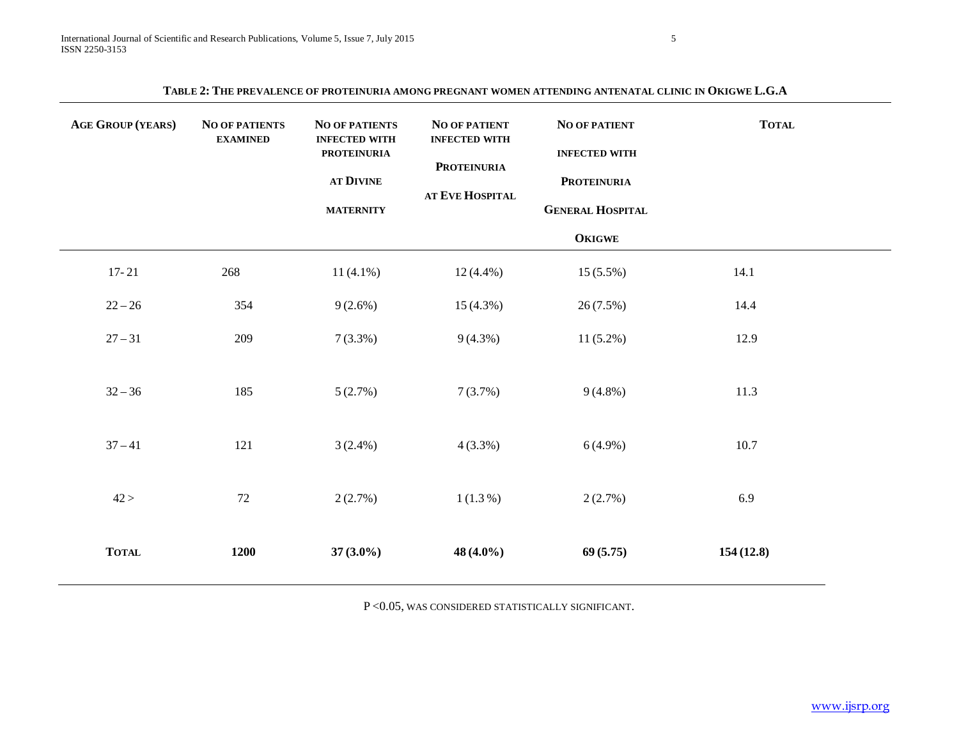| TABLE 2: THE PREVALENCE OF PROTEINURIA AMONG PREGNANT WOMEN ATTENDING ANTENATAL CLINIC IN OKIGWE L.G.A |  |
|--------------------------------------------------------------------------------------------------------|--|
|--------------------------------------------------------------------------------------------------------|--|

| <b>AGE GROUP (YEARS)</b> | <b>NO OF PATIENTS</b><br><b>EXAMINED</b> | <b>NO OF PATIENTS</b><br><b>INFECTED WITH</b><br><b>PROTEINURIA</b><br>AT DIVINE<br><b>MATERNITY</b> | <b>NO OF PATIENT</b><br><b>INFECTED WITH</b><br>PROTEINURIA<br>AT EVE HOSPITAL | <b>NO OF PATIENT</b><br><b>INFECTED WITH</b><br><b>PROTEINURIA</b><br><b>GENERAL HOSPITAL</b><br><b>OKIGWE</b> | <b>TOTAL</b> |
|--------------------------|------------------------------------------|------------------------------------------------------------------------------------------------------|--------------------------------------------------------------------------------|----------------------------------------------------------------------------------------------------------------|--------------|
| $17 - 21$                | 268                                      | $11(4.1\%)$                                                                                          | $12(4.4\%)$                                                                    | $15(5.5\%)$                                                                                                    | 14.1         |
| $22 - 26$                | 354                                      | $9(2.6\%)$                                                                                           | $15(4.3\%)$                                                                    | 26(7.5%)                                                                                                       | 14.4         |
| $27 - 31$                | 209                                      | $7(3.3\%)$                                                                                           | $9(4.3\%)$                                                                     | $11(5.2\%)$                                                                                                    | 12.9         |
| $32 - 36$                | 185                                      | 5(2.7%)                                                                                              | 7(3.7%)                                                                        | $9(4.8\%)$                                                                                                     | 11.3         |
| $37 - 41$                | 121                                      | $3(2.4\%)$                                                                                           | $4(3.3\%)$                                                                     | $6(4.9\%)$                                                                                                     | 10.7         |
| 42 >                     | 72                                       | 2(2.7%)                                                                                              | $1(1.3\%)$                                                                     | 2(2.7%)                                                                                                        | 6.9          |
| <b>TOTAL</b>             | 1200                                     | $37(3.0\%)$                                                                                          | 48 (4.0%)                                                                      | 69(5.75)                                                                                                       | 154(12.8)    |

P <0.05, WAS CONSIDERED STATISTICALLY SIGNIFICANT.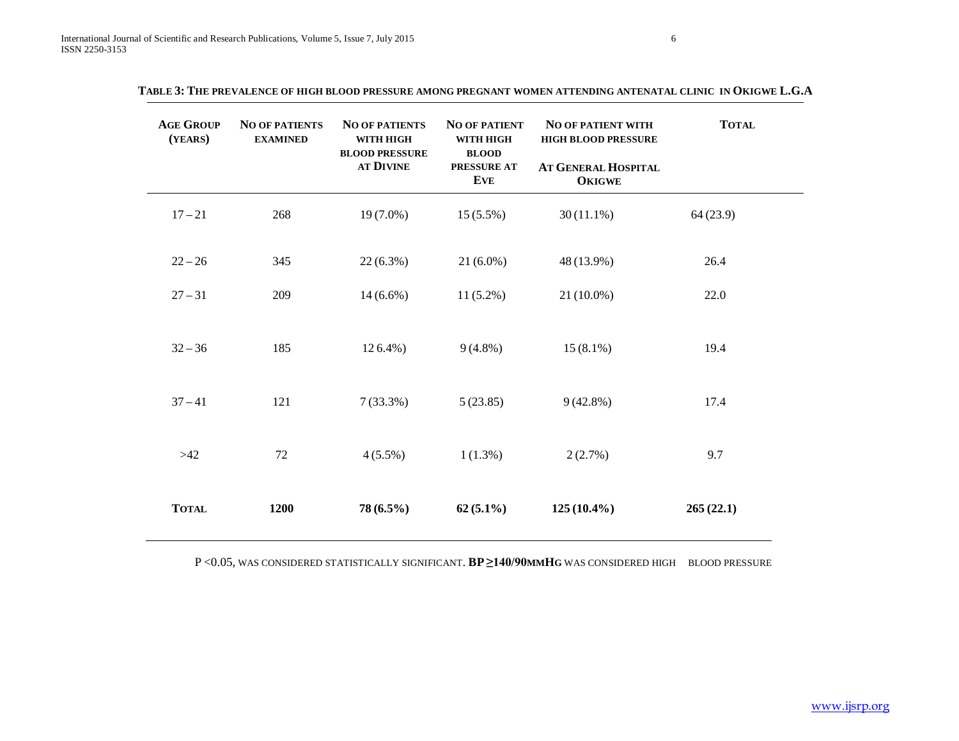| <b>AGE GROUP</b><br>(YEARS) | <b>NO OF PATIENTS</b><br><b>EXAMINED</b> | <b>NO OF PATIENTS</b><br>WITH HIGH<br><b>BLOOD PRESSURE</b><br>AT DIVINE | <b>NO OF PATIENT</b><br>WITH HIGH<br><b>BLOOD</b><br>PRESSURE AT<br><b>EVE</b> | <b>NO OF PATIENT WITH</b><br><b>HIGH BLOOD PRESSURE</b><br>AT GENERAL HOSPITAL<br><b>OKIGWE</b> | <b>TOTAL</b> |
|-----------------------------|------------------------------------------|--------------------------------------------------------------------------|--------------------------------------------------------------------------------|-------------------------------------------------------------------------------------------------|--------------|
| $17 - 21$                   | 268                                      | $19(7.0\%)$                                                              | $15(5.5\%)$                                                                    | $30(11.1\%)$                                                                                    | 64(23.9)     |
| $22 - 26$                   | 345                                      | $22(6.3\%)$                                                              | $21(6.0\%)$                                                                    | 48 (13.9%)                                                                                      | 26.4         |
| $27 - 31$                   | 209                                      | $14(6.6\%)$                                                              | $11(5.2\%)$                                                                    | 21 (10.0%)                                                                                      | 22.0         |
| $32 - 36$                   | 185                                      | $126.4\%$ )                                                              | $9(4.8\%)$                                                                     | $15(8.1\%)$                                                                                     | 19.4         |
| $37 - 41$                   | 121                                      | $7(33.3\%)$                                                              | 5(23.85)                                                                       | $9(42.8\%)$                                                                                     | 17.4         |
| $>42$                       | 72                                       | $4(5.5\%)$                                                               | $1(1.3\%)$                                                                     | 2(2.7%)                                                                                         | 9.7          |
| <b>TOTAL</b>                | 1200                                     | $78(6.5\%)$                                                              | $62(5.1\%)$                                                                    | $125(10.4\%)$                                                                                   | 265(22.1)    |

**TABLE 3: THE PREVALENCE OF HIGH BLOOD PRESSURE AMONG PREGNANT WOMEN ATTENDING ANTENATAL CLINIC IN OKIGWE L.G.A**

P <0.05, WAS CONSIDERED STATISTICALLY SIGNIFICANT. **BP ≥140/90MMHG** WAS CONSIDERED HIGH BLOOD PRESSURE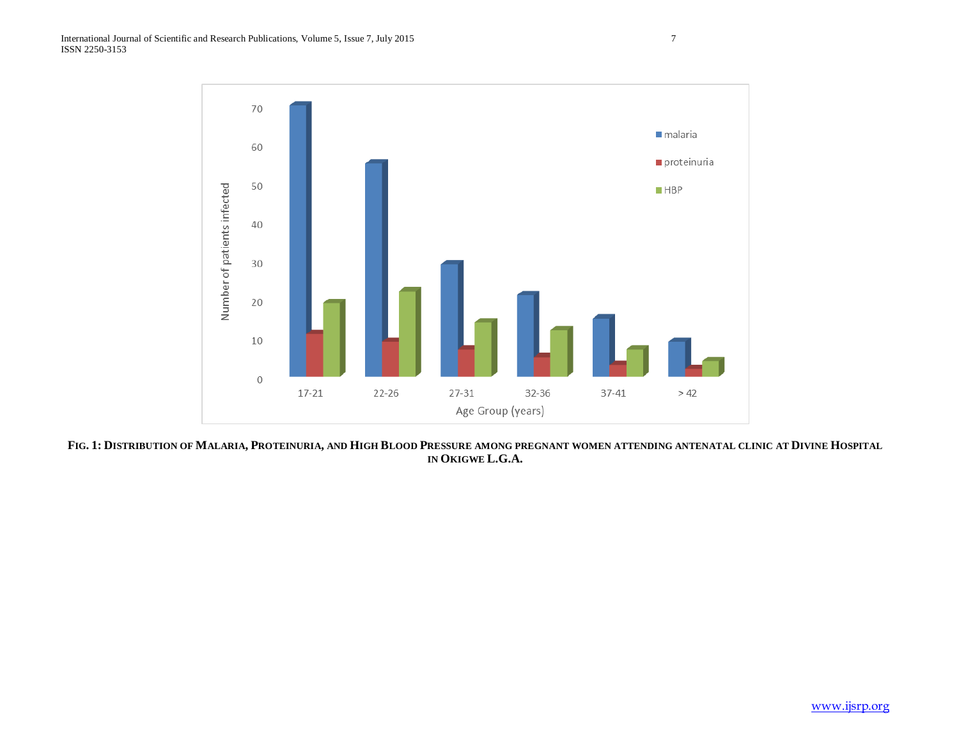

**FIG. 1: DISTRIBUTION OF MALARIA, PROTEINURIA, AND HIGH BLOOD PRESSURE AMONG PREGNANT WOMEN ATTENDING ANTENATAL CLINIC AT DIVINE HOSPITAL IN OKIGWE L.G.A.**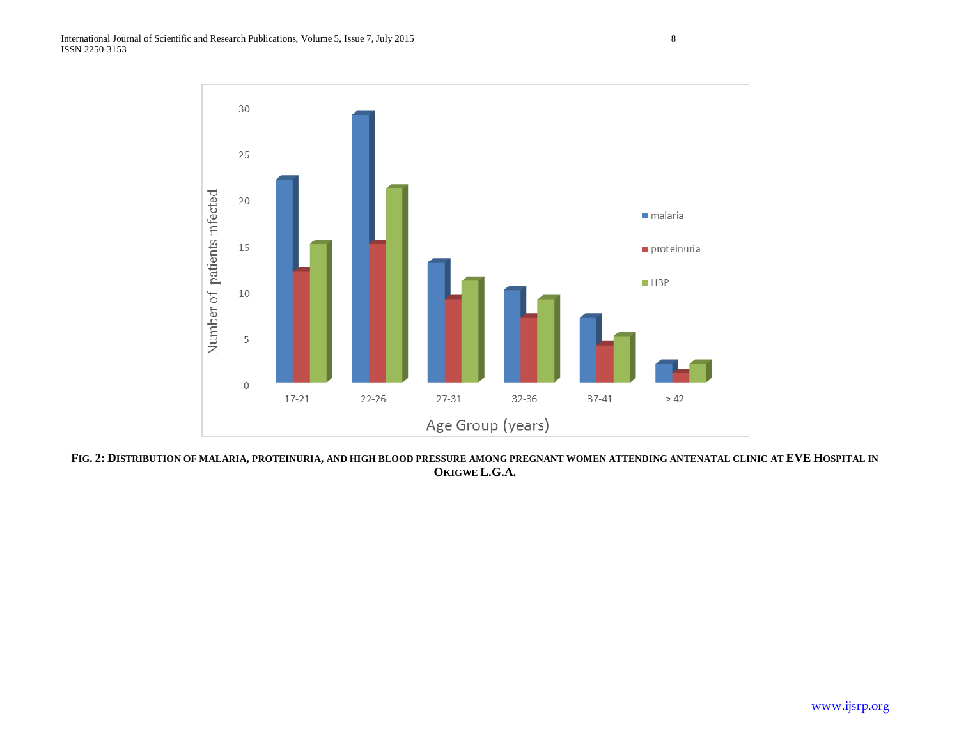

**FIG. 2: DISTRIBUTION OF MALARIA, PROTEINURIA, AND HIGH BLOOD PRESSURE AMONG PREGNANT WOMEN ATTENDING ANTENATAL CLINIC AT EVE HOSPITAL IN OKIGWE L.G.A.**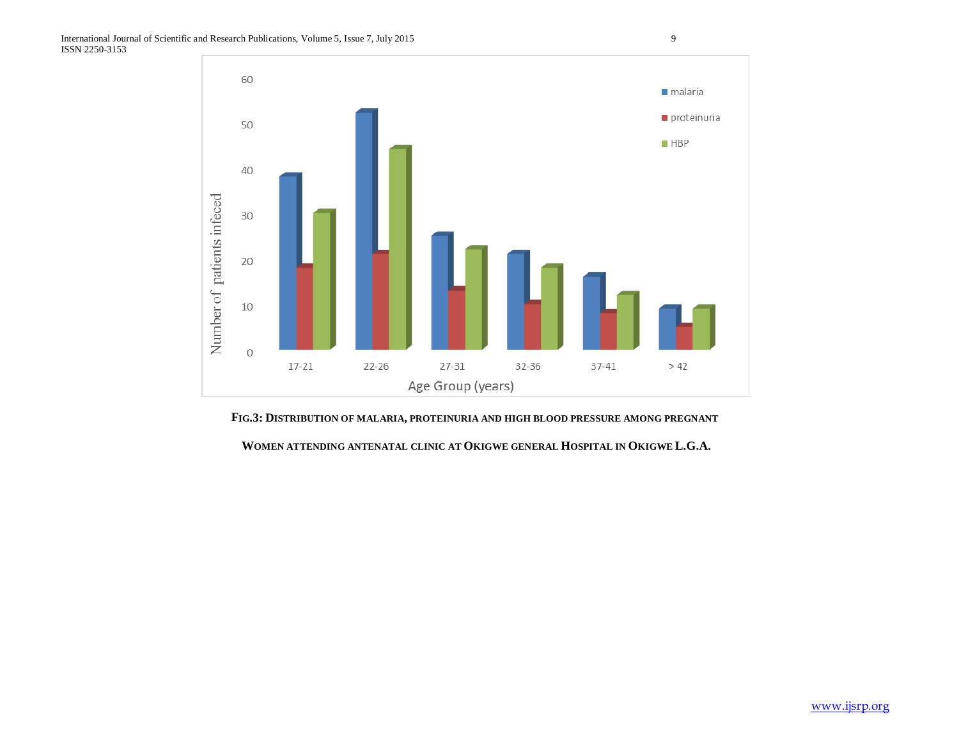

**FIG.3: DISTRIBUTION OF MALARIA, PROTEINURIA AND HIGH BLOOD PRESSURE AMONG PREGNANT**

**WOMEN ATTENDING ANTENATAL CLINIC AT OKIGWE GENERAL HOSPITAL IN OKIGWE L.G.A.**